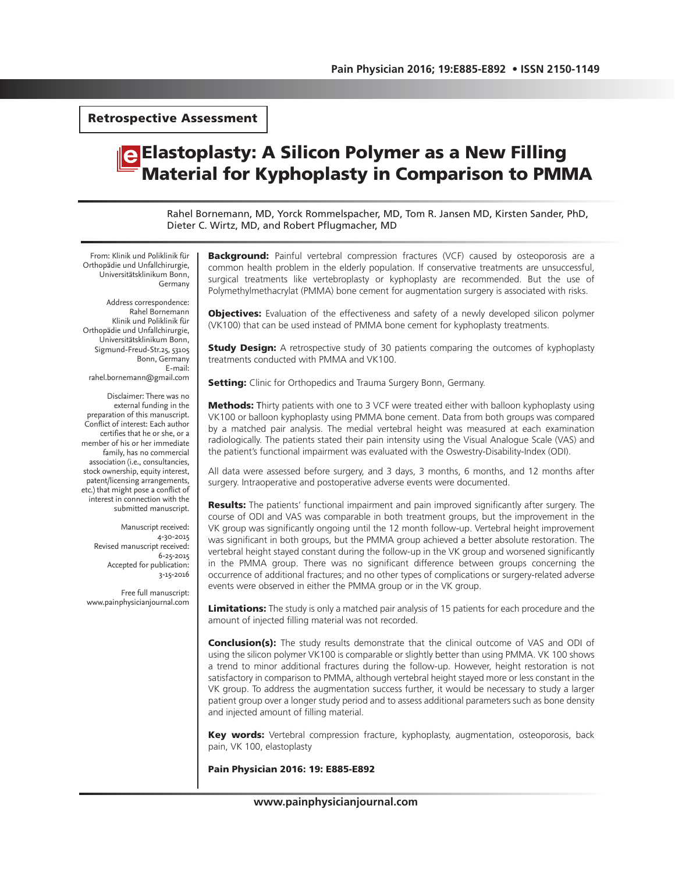Retrospective Assessment

# Elastoplasty: A Silicon Polymer as a New Filling Material for Kyphoplasty in Comparison to PMMA

Rahel Bornemann, MD, Yorck Rommelspacher, MD, Tom R. Jansen MD, Kirsten Sander, PhD, Dieter C. Wirtz, MD, and Robert Pflugmacher, MD

From: Klinik und Poliklinik für Orthopädie und Unfallchirurgie, Universitätsklinikum Bonn, Germany

Address correspondence: Rahel Bornemann Klinik und Poliklinik für Orthopädie und Unfallchirurgie, Universitätsklinikum Bonn, Sigmund-Freud-Str.25, 53105 Bonn, Germany E-mail: rahel.bornemann@gmail.com

Disclaimer: There was no external funding in the preparation of this manuscript. Conflict of interest: Each author certifies that he or she, or a member of his or her immediate family, has no commercial association (i.e., consultancies, stock ownership, equity interest, patent/licensing arrangements, etc.) that might pose a conflict of interest in connection with the submitted manuscript.

> Manuscript received: 4-30-2015 Revised manuscript received: 6-25-2015 Accepted for publication: 3-15-2016

Free full manuscript: www.painphysicianjournal.com

**Background:** Painful vertebral compression fractures (VCF) caused by osteoporosis are a common health problem in the elderly population. If conservative treatments are unsuccessful, surgical treatments like vertebroplasty or kyphoplasty are recommended. But the use of Polymethylmethacrylat (PMMA) bone cement for augmentation surgery is associated with risks.

**Objectives:** Evaluation of the effectiveness and safety of a newly developed silicon polymer (VK100) that can be used instead of PMMA bone cement for kyphoplasty treatments.

**Study Design:** A retrospective study of 30 patients comparing the outcomes of kyphoplasty treatments conducted with PMMA and VK100.

**Setting:** Clinic for Orthopedics and Trauma Surgery Bonn, Germany.

**Methods:** Thirty patients with one to 3 VCF were treated either with balloon kyphoplasty using VK100 or balloon kyphoplasty using PMMA bone cement. Data from both groups was compared by a matched pair analysis. The medial vertebral height was measured at each examination radiologically. The patients stated their pain intensity using the Visual Analogue Scale (VAS) and the patient's functional impairment was evaluated with the Oswestry-Disability-Index (ODI).

All data were assessed before surgery, and 3 days, 3 months, 6 months, and 12 months after surgery. Intraoperative and postoperative adverse events were documented.

**Results:** The patients' functional impairment and pain improved significantly after surgery. The course of ODI and VAS was comparable in both treatment groups, but the improvement in the VK group was significantly ongoing until the 12 month follow-up. Vertebral height improvement was significant in both groups, but the PMMA group achieved a better absolute restoration. The vertebral height stayed constant during the follow-up in the VK group and worsened significantly in the PMMA group. There was no significant difference between groups concerning the occurrence of additional fractures; and no other types of complications or surgery-related adverse events were observed in either the PMMA group or in the VK group.

Limitations: The study is only a matched pair analysis of 15 patients for each procedure and the amount of injected filling material was not recorded.

**Conclusion(s):** The study results demonstrate that the clinical outcome of VAS and ODI of using the silicon polymer VK100 is comparable or slightly better than using PMMA. VK 100 shows a trend to minor additional fractures during the follow-up. However, height restoration is not satisfactory in comparison to PMMA, although vertebral height stayed more or less constant in the VK group. To address the augmentation success further, it would be necessary to study a larger patient group over a longer study period and to assess additional parameters such as bone density and injected amount of filling material.

Key words: Vertebral compression fracture, kyphoplasty, augmentation, osteoporosis, back pain, VK 100, elastoplasty

Pain Physician 2016: 19: E885-E892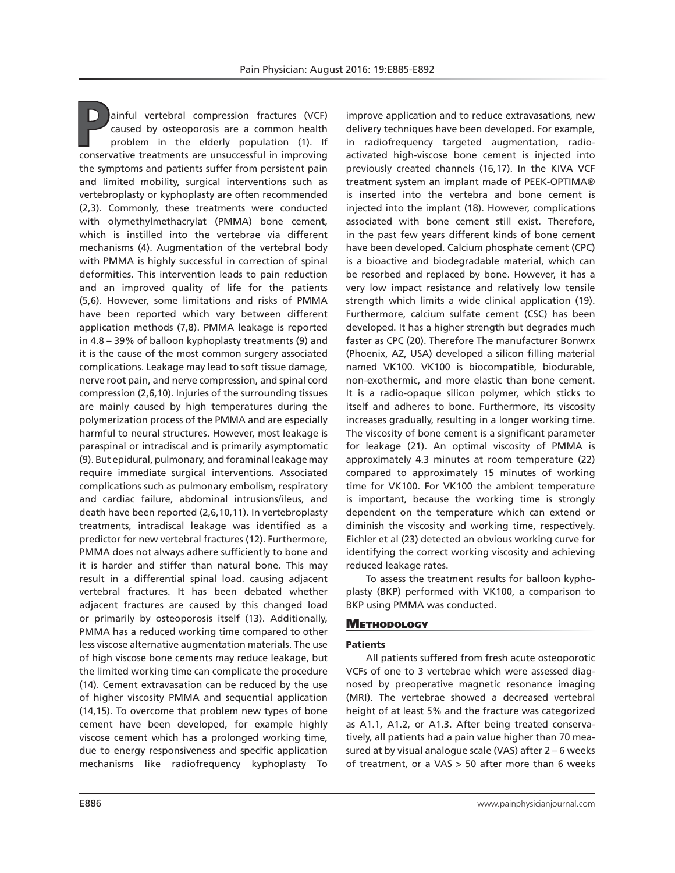**P**ainful vertebral compression fractures (VCF) caused by osteoporosis are a common health problem in the elderly population (1). If conservative treatments are unsuccessful in improving the symptoms and patients suffer from persistent pain and limited mobility, surgical interventions such as vertebroplasty or kyphoplasty are often recommended (2,3). Commonly, these treatments were conducted with olymethylmethacrylat (PMMA) bone cement, which is instilled into the vertebrae via different mechanisms (4). Augmentation of the vertebral body with PMMA is highly successful in correction of spinal deformities. This intervention leads to pain reduction and an improved quality of life for the patients (5,6). However, some limitations and risks of PMMA have been reported which vary between different application methods (7,8). PMMA leakage is reported in 4.8 – 39% of balloon kyphoplasty treatments (9) and it is the cause of the most common surgery associated complications. Leakage may lead to soft tissue damage, nerve root pain, and nerve compression, and spinal cord compression (2,6,10). Injuries of the surrounding tissues are mainly caused by high temperatures during the polymerization process of the PMMA and are especially harmful to neural structures. However, most leakage is paraspinal or intradiscal and is primarily asymptomatic (9). But epidural, pulmonary, and foraminal leakage may require immediate surgical interventions. Associated complications such as pulmonary embolism, respiratory and cardiac failure, abdominal intrusions/ileus, and death have been reported (2,6,10,11). In vertebroplasty treatments, intradiscal leakage was identified as a predictor for new vertebral fractures (12). Furthermore, PMMA does not always adhere sufficiently to bone and it is harder and stiffer than natural bone. This may result in a differential spinal load. causing adjacent vertebral fractures. It has been debated whether adjacent fractures are caused by this changed load or primarily by osteoporosis itself (13). Additionally, PMMA has a reduced working time compared to other less viscose alternative augmentation materials. The use of high viscose bone cements may reduce leakage, but the limited working time can complicate the procedure (14). Cement extravasation can be reduced by the use of higher viscosity PMMA and sequential application (14,15). To overcome that problem new types of bone cement have been developed, for example highly viscose cement which has a prolonged working time, due to energy responsiveness and specific application mechanisms like radiofrequency kyphoplasty To

improve application and to reduce extravasations, new delivery techniques have been developed. For example, in radiofrequency targeted augmentation, radioactivated high-viscose bone cement is injected into previously created channels (16,17). In the KIVA VCF treatment system an implant made of PEEK-OPTIMA® is inserted into the vertebra and bone cement is injected into the implant (18). However, complications associated with bone cement still exist. Therefore, in the past few years different kinds of bone cement have been developed. Calcium phosphate cement (CPC) is a bioactive and biodegradable material, which can be resorbed and replaced by bone. However, it has a very low impact resistance and relatively low tensile strength which limits a wide clinical application (19). Furthermore, calcium sulfate cement (CSC) has been developed. It has a higher strength but degrades much faster as CPC (20). Therefore The manufacturer Bonwrx (Phoenix, AZ, USA) developed a silicon filling material named VK100. VK100 is biocompatible, biodurable, non-exothermic, and more elastic than bone cement. It is a radio-opaque silicon polymer, which sticks to itself and adheres to bone. Furthermore, its viscosity increases gradually, resulting in a longer working time. The viscosity of bone cement is a significant parameter for leakage (21). An optimal viscosity of PMMA is approximately 4.3 minutes at room temperature (22) compared to approximately 15 minutes of working time for VK100. For VK100 the ambient temperature is important, because the working time is strongly dependent on the temperature which can extend or diminish the viscosity and working time, respectively. Eichler et al (23) detected an obvious working curve for identifying the correct working viscosity and achieving reduced leakage rates.

To assess the treatment results for balloon kyphoplasty (BKP) performed with VK100, a comparison to BKP using PMMA was conducted.

## **METHODOLOGY**

#### Patients

All patients suffered from fresh acute osteoporotic VCFs of one to 3 vertebrae which were assessed diagnosed by preoperative magnetic resonance imaging (MRI). The vertebrae showed a decreased vertebral height of at least 5% and the fracture was categorized as A1.1, A1.2, or A1.3. After being treated conservatively, all patients had a pain value higher than 70 measured at by visual analogue scale (VAS) after 2 – 6 weeks of treatment, or a VAS > 50 after more than 6 weeks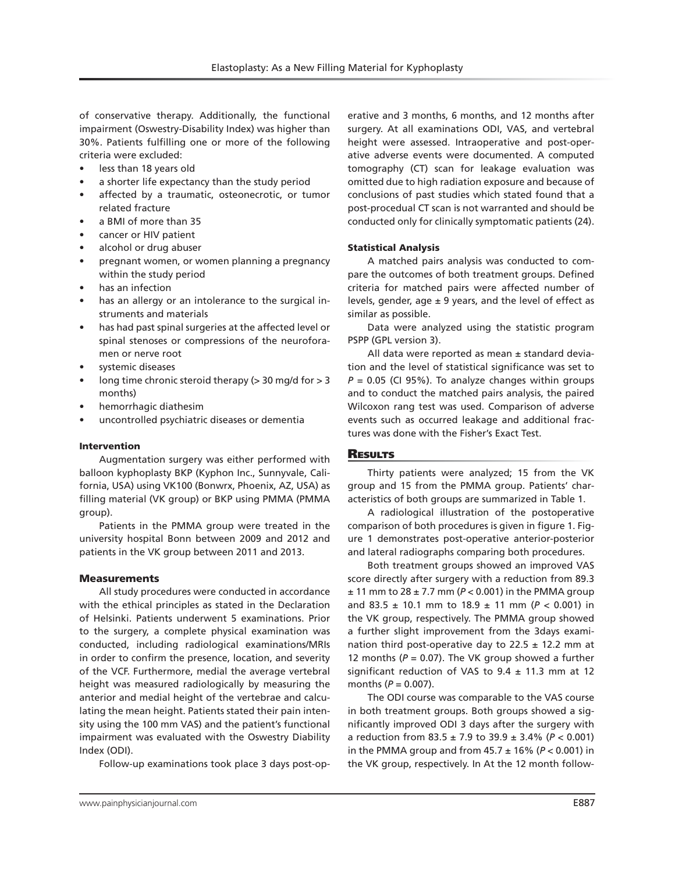of conservative therapy. Additionally, the functional impairment (Oswestry-Disability Index) was higher than 30%. Patients fulfilling one or more of the following criteria were excluded:

- less than 18 years old
- a shorter life expectancy than the study period
- affected by a traumatic, osteonecrotic, or tumor related fracture
- a BMI of more than 35
- cancer or HIV patient
- alcohol or drug abuser
- pregnant women, or women planning a pregnancy within the study period
- has an infection
- has an allergy or an intolerance to the surgical instruments and materials
- has had past spinal surgeries at the affected level or spinal stenoses or compressions of the neuroforamen or nerve root
- systemic diseases
- long time chronic steroid therapy ( $>$  30 mg/d for  $>$  3 months)
- hemorrhagic diathesim
- uncontrolled psychiatric diseases or dementia

## Intervention

Augmentation surgery was either performed with balloon kyphoplasty BKP (Kyphon Inc., Sunnyvale, California, USA) using VK100 (Bonwrx, Phoenix, AZ, USA) as filling material (VK group) or BKP using PMMA (PMMA group).

Patients in the PMMA group were treated in the university hospital Bonn between 2009 and 2012 and patients in the VK group between 2011 and 2013.

## Measurements

All study procedures were conducted in accordance with the ethical principles as stated in the Declaration of Helsinki. Patients underwent 5 examinations. Prior to the surgery, a complete physical examination was conducted, including radiological examinations/MRIs in order to confirm the presence, location, and severity of the VCF. Furthermore, medial the average vertebral height was measured radiologically by measuring the anterior and medial height of the vertebrae and calculating the mean height. Patients stated their pain intensity using the 100 mm VAS) and the patient's functional impairment was evaluated with the Oswestry Diability Index (ODI).

Follow-up examinations took place 3 days post-op-

erative and 3 months, 6 months, and 12 months after surgery. At all examinations ODI, VAS, and vertebral height were assessed. Intraoperative and post-operative adverse events were documented. A computed tomography (CT) scan for leakage evaluation was omitted due to high radiation exposure and because of conclusions of past studies which stated found that a post-procedual CT scan is not warranted and should be conducted only for clinically symptomatic patients (24).

## Statistical Analysis

A matched pairs analysis was conducted to compare the outcomes of both treatment groups. Defined criteria for matched pairs were affected number of levels, gender, age  $\pm$  9 years, and the level of effect as similar as possible.

Data were analyzed using the statistic program PSPP (GPL version 3).

All data were reported as mean  $\pm$  standard deviation and the level of statistical significance was set to  $P = 0.05$  (CI 95%). To analyze changes within groups and to conduct the matched pairs analysis, the paired Wilcoxon rang test was used. Comparison of adverse events such as occurred leakage and additional fractures was done with the Fisher's Exact Test.

## **RESULTS**

Thirty patients were analyzed; 15 from the VK group and 15 from the PMMA group. Patients' characteristics of both groups are summarized in Table 1.

A radiological illustration of the postoperative comparison of both procedures is given in figure 1. Figure 1 demonstrates post-operative anterior-posterior and lateral radiographs comparing both procedures.

Both treatment groups showed an improved VAS score directly after surgery with a reduction from 89.3 ± 11 mm to 28 ± 7.7 mm (*P* < 0.001) in the PMMA group and 83.5 ± 10.1 mm to 18.9 ± 11 mm (*P* < 0.001) in the VK group, respectively. The PMMA group showed a further slight improvement from the 3days examination third post-operative day to  $22.5 \pm 12.2$  mm at 12 months ( $P = 0.07$ ). The VK group showed a further significant reduction of VAS to  $9.4 \pm 11.3$  mm at 12 months  $(P = 0.007)$ .

The ODI course was comparable to the VAS course in both treatment groups. Both groups showed a significantly improved ODI 3 days after the surgery with a reduction from 83.5 ± 7.9 to 39.9 ± 3.4% (*P* < 0.001) in the PMMA group and from  $45.7 \pm 16\%$  ( $P < 0.001$ ) in the VK group, respectively. In At the 12 month follow-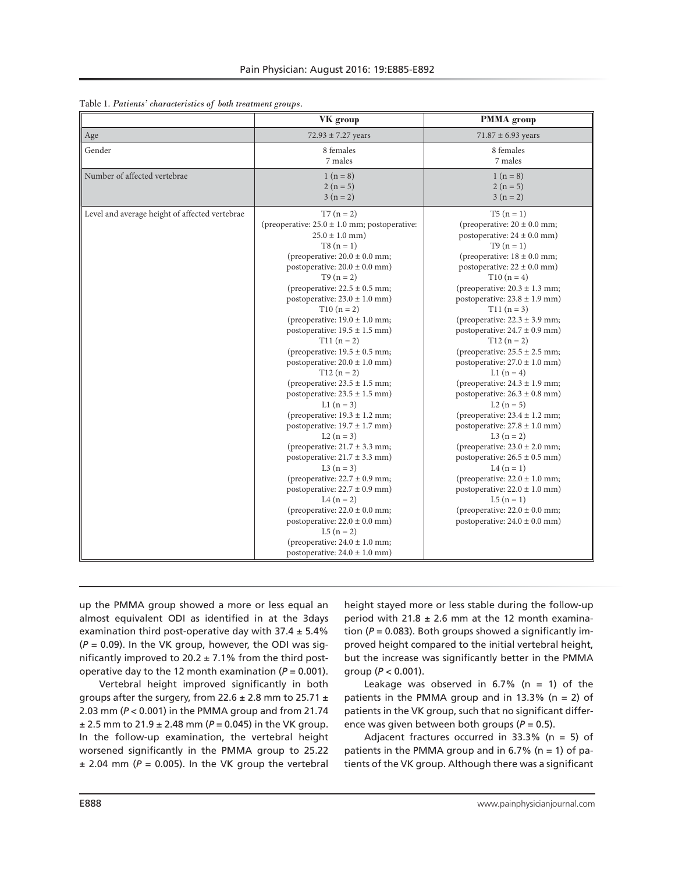|                                                | VK group                                                                                                                                                                                                                                                                                                                                                                                                                                                                                                                                                                                                                                                                                                                                                                                                                                                                                                                                                                                                     | <b>PMMA</b> group                                                                                                                                                                                                                                                                                                                                                                                                                                                                                                                                                                                                                                                                                                                                                                                                                                                                                               |
|------------------------------------------------|--------------------------------------------------------------------------------------------------------------------------------------------------------------------------------------------------------------------------------------------------------------------------------------------------------------------------------------------------------------------------------------------------------------------------------------------------------------------------------------------------------------------------------------------------------------------------------------------------------------------------------------------------------------------------------------------------------------------------------------------------------------------------------------------------------------------------------------------------------------------------------------------------------------------------------------------------------------------------------------------------------------|-----------------------------------------------------------------------------------------------------------------------------------------------------------------------------------------------------------------------------------------------------------------------------------------------------------------------------------------------------------------------------------------------------------------------------------------------------------------------------------------------------------------------------------------------------------------------------------------------------------------------------------------------------------------------------------------------------------------------------------------------------------------------------------------------------------------------------------------------------------------------------------------------------------------|
| Age                                            | $72.93 \pm 7.27$ years                                                                                                                                                                                                                                                                                                                                                                                                                                                                                                                                                                                                                                                                                                                                                                                                                                                                                                                                                                                       | $71.87 \pm 6.93$ years                                                                                                                                                                                                                                                                                                                                                                                                                                                                                                                                                                                                                                                                                                                                                                                                                                                                                          |
| Gender                                         | 8 females<br>7 males                                                                                                                                                                                                                                                                                                                                                                                                                                                                                                                                                                                                                                                                                                                                                                                                                                                                                                                                                                                         | 8 females<br>7 males                                                                                                                                                                                                                                                                                                                                                                                                                                                                                                                                                                                                                                                                                                                                                                                                                                                                                            |
| Number of affected vertebrae                   | $1(n=8)$<br>$2(n=5)$<br>$3(n=2)$                                                                                                                                                                                                                                                                                                                                                                                                                                                                                                                                                                                                                                                                                                                                                                                                                                                                                                                                                                             | $1(n=8)$<br>$2(n=5)$<br>$3(n=2)$                                                                                                                                                                                                                                                                                                                                                                                                                                                                                                                                                                                                                                                                                                                                                                                                                                                                                |
| Level and average height of affected vertebrae | $T7 (n = 2)$<br>(preoperative: $25.0 \pm 1.0$ mm; postoperative:<br>$25.0 \pm 1.0$ mm)<br>$T8(n = 1)$<br>(preoperative: $20.0 \pm 0.0$ mm;<br>postoperative: $20.0 \pm 0.0$ mm)<br>$T9(n = 2)$<br>(preoperative: $22.5 \pm 0.5$ mm;<br>postoperative: $23.0 \pm 1.0$ mm)<br>$T10(n = 2)$<br>(preoperative: $19.0 \pm 1.0$ mm;<br>postoperative: $19.5 \pm 1.5$ mm)<br>$T11(n = 2)$<br>(preoperative: $19.5 \pm 0.5$ mm;<br>postoperative: $20.0 \pm 1.0$ mm)<br>$T12(n=2)$<br>(preoperative: $23.5 \pm 1.5$ mm;<br>postoperative: $23.5 \pm 1.5$ mm)<br>$L1(n=3)$<br>(preoperative: $19.3 \pm 1.2$ mm;<br>postoperative: $19.7 \pm 1.7$ mm)<br>$L2(n=3)$<br>(preoperative: $21.7 \pm 3.3$ mm;<br>postoperative: $21.7 \pm 3.3$ mm)<br>$L3(n=3)$<br>(preoperative: $22.7 \pm 0.9$ mm;<br>postoperative: $22.7 \pm 0.9$ mm)<br>L4 $(n = 2)$<br>(preoperative: $22.0 \pm 0.0$ mm;<br>postoperative: $22.0 \pm 0.0$ mm)<br>$L5(n = 2)$<br>(preoperative: $24.0 \pm 1.0$ mm;<br>postoperative: $24.0 \pm 1.0$ mm) | $T5(n = 1)$<br>(preoperative: $20 \pm 0.0$ mm;<br>postoperative: $24 \pm 0.0$ mm)<br>$T9(n = 1)$<br>(preoperative: $18 \pm 0.0$ mm;<br>postoperative: $22 \pm 0.0$ mm)<br>$T10(n=4)$<br>(preoperative: $20.3 \pm 1.3$ mm;<br>postoperative: $23.8 \pm 1.9$ mm)<br>$T11(n=3)$<br>(preoperative: $22.3 \pm 3.9$ mm;<br>postoperative: $24.7 \pm 0.9$ mm)<br>$T12 (n = 2)$<br>(preoperative: $25.5 \pm 2.5$ mm;<br>postoperative: $27.0 \pm 1.0$ mm)<br>L1 $(n = 4)$<br>(preoperative: $24.3 \pm 1.9$ mm;<br>postoperative: $26.3 \pm 0.8$ mm)<br>$L2(n=5)$<br>(preoperative: $23.4 \pm 1.2$ mm;<br>postoperative: $27.8 \pm 1.0$ mm)<br>L3 $(n = 2)$<br>(preoperative: $23.0 \pm 2.0$ mm;<br>postoperative: $26.5 \pm 0.5$ mm)<br>L4 $(n = 1)$<br>(preoperative: $22.0 \pm 1.0$ mm;<br>postoperative: $22.0 \pm 1.0$ mm)<br>$L5(n = 1)$<br>(preoperative: $22.0 \pm 0.0$ mm;<br>postoperative: $24.0 \pm 0.0$ mm) |

Table 1. *Patients' characteristics of both treatment groups.*

up the PMMA group showed a more or less equal an almost equivalent ODI as identified in at the 3days examination third post-operative day with  $37.4 \pm 5.4\%$ (*P* = 0.09). In the VK group, however, the ODI was significantly improved to 20.2  $\pm$  7.1% from the third postoperative day to the 12 month examination  $(P = 0.001)$ .

Vertebral height improved significantly in both groups after the surgery, from 22.6  $\pm$  2.8 mm to 25.71  $\pm$ 2.03 mm (*P* < 0.001) in the PMMA group and from 21.74  $\pm$  2.5 mm to 21.9  $\pm$  2.48 mm ( $P = 0.045$ ) in the VK group. In the follow-up examination, the vertebral height worsened significantly in the PMMA group to 25.22  $± 2.04$  mm ( $P = 0.005$ ). In the VK group the vertebral

height stayed more or less stable during the follow-up period with  $21.8 \pm 2.6$  mm at the 12 month examination (*P* = 0.083). Both groups showed a significantly improved height compared to the initial vertebral height, but the increase was significantly better in the PMMA group (*P* < 0.001).

Leakage was observed in  $6.7\%$  (n = 1) of the patients in the PMMA group and in 13.3% ( $n = 2$ ) of patients in the VK group, such that no significant difference was given between both groups (*P* = 0.5).

Adjacent fractures occurred in 33.3% (n = 5) of patients in the PMMA group and in  $6.7\%$  (n = 1) of patients of the VK group. Although there was a significant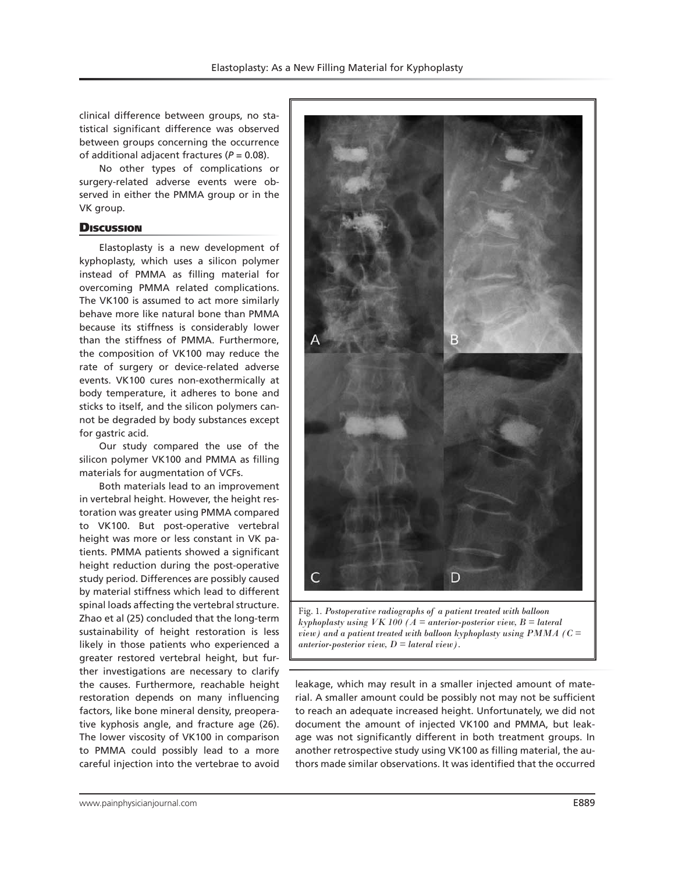clinical difference between groups, no statistical significant difference was observed between groups concerning the occurrence of additional adjacent fractures (*P* = 0.08).

No other types of complications or surgery-related adverse events were observed in either the PMMA group or in the VK group.

## **Discussion**

Elastoplasty is a new development of kyphoplasty, which uses a silicon polymer instead of PMMA as filling material for overcoming PMMA related complications. The VK100 is assumed to act more similarly behave more like natural bone than PMMA because its stiffness is considerably lower than the stiffness of PMMA. Furthermore, the composition of VK100 may reduce the rate of surgery or device-related adverse events. VK100 cures non-exothermically at body temperature, it adheres to bone and sticks to itself, and the silicon polymers cannot be degraded by body substances except for gastric acid.

Our study compared the use of the silicon polymer VK100 and PMMA as filling materials for augmentation of VCFs.

Both materials lead to an improvement in vertebral height. However, the height restoration was greater using PMMA compared to VK100. But post-operative vertebral height was more or less constant in VK patients. PMMA patients showed a significant height reduction during the post-operative study period. Differences are possibly caused by material stiffness which lead to different spinal loads affecting the vertebral structure. Zhao et al (25) concluded that the long-term sustainability of height restoration is less likely in those patients who experienced a greater restored vertebral height, but further investigations are necessary to clarify the causes. Furthermore, reachable height restoration depends on many influencing factors, like bone mineral density, preoperative kyphosis angle, and fracture age (26). The lower viscosity of VK100 in comparison to PMMA could possibly lead to a more careful injection into the vertebrae to avoid



*kyphoplasty using VK 100 (A = anterior-posterior view, B = lateral view) and a patient treated with balloon kyphoplasty using PMMA (C = anterior-posterior view, D = lateral view).*

leakage, which may result in a smaller injected amount of material. A smaller amount could be possibly not may not be sufficient to reach an adequate increased height. Unfortunately, we did not document the amount of injected VK100 and PMMA, but leakage was not significantly different in both treatment groups. In another retrospective study using VK100 as filling material, the authors made similar observations. It was identified that the occurred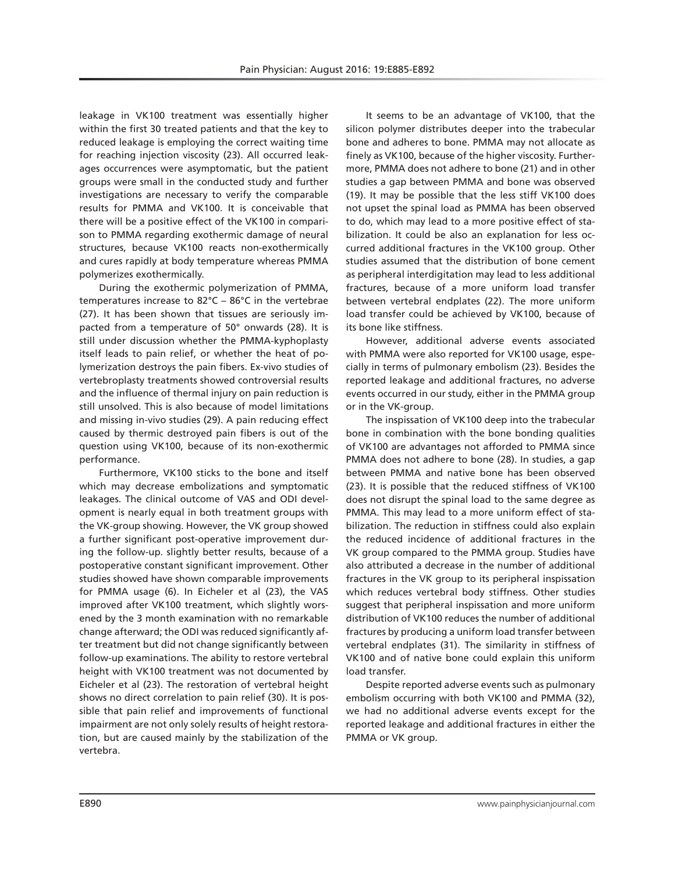leakage in VK100 treatment was essentially higher within the first 30 treated patients and that the key to reduced leakage is employing the correct waiting time for reaching injection viscosity (23). All occurred leakages occurrences were asymptomatic, but the patient groups were small in the conducted study and further investigations are necessary to verify the comparable results for PMMA and VK100. It is conceivable that there will be a positive effect of the VK100 in comparison to PMMA regarding exothermic damage of neural structures, because VK100 reacts non-exothermically and cures rapidly at body temperature whereas PMMA polymerizes exothermically.

During the exothermic polymerization of PMMA, temperatures increase to 82°C – 86°C in the vertebrae (27). It has been shown that tissues are seriously impacted from a temperature of 50° onwards (28). It is still under discussion whether the PMMA-kyphoplasty itself leads to pain relief, or whether the heat of polymerization destroys the pain fibers. Ex-vivo studies of vertebroplasty treatments showed controversial results and the influence of thermal injury on pain reduction is still unsolved. This is also because of model limitations and missing in-vivo studies (29). A pain reducing effect caused by thermic destroyed pain fibers is out of the question using VK100, because of its non-exothermic performance.

Furthermore, VK100 sticks to the bone and itself which may decrease embolizations and symptomatic leakages. The clinical outcome of VAS and ODI development is nearly equal in both treatment groups with the VK-group showing. However, the VK group showed a further significant post-operative improvement during the follow-up. slightly better results, because of a postoperative constant significant improvement. Other studies showed have shown comparable improvements for PMMA usage (6). In Eicheler et al (23), the VAS improved after VK100 treatment, which slightly worsened by the 3 month examination with no remarkable change afterward; the ODI was reduced significantly after treatment but did not change significantly between follow-up examinations. The ability to restore vertebral height with VK100 treatment was not documented by Eicheler et al (23). The restoration of vertebral height shows no direct correlation to pain relief (30). It is possible that pain relief and improvements of functional impairment are not only solely results of height restoration, but are caused mainly by the stabilization of the vertebra.

It seems to be an advantage of VK100, that the silicon polymer distributes deeper into the trabecular bone and adheres to bone. PMMA may not allocate as finely as VK100, because of the higher viscosity. Furthermore, PMMA does not adhere to bone (21) and in other studies a gap between PMMA and bone was observed (19). It may be possible that the less stiff VK100 does not upset the spinal load as PMMA has been observed to do, which may lead to a more positive effect of stabilization. It could be also an explanation for less occurred additional fractures in the VK100 group. Other studies assumed that the distribution of bone cement as peripheral interdigitation may lead to less additional fractures, because of a more uniform load transfer between vertebral endplates (22). The more uniform load transfer could be achieved by VK100, because of its bone like stiffness.

However, additional adverse events associated with PMMA were also reported for VK100 usage, especially in terms of pulmonary embolism (23). Besides the reported leakage and additional fractures, no adverse events occurred in our study, either in the PMMA group or in the VK-group.

The inspissation of VK100 deep into the trabecular bone in combination with the bone bonding qualities of VK100 are advantages not afforded to PMMA since PMMA does not adhere to bone (28). In studies, a gap between PMMA and native bone has been observed (23). It is possible that the reduced stiffness of VK100 does not disrupt the spinal load to the same degree as PMMA. This may lead to a more uniform effect of stabilization. The reduction in stiffness could also explain the reduced incidence of additional fractures in the VK group compared to the PMMA group. Studies have also attributed a decrease in the number of additional fractures in the VK group to its peripheral inspissation which reduces vertebral body stiffness. Other studies suggest that peripheral inspissation and more uniform distribution of VK100 reduces the number of additional fractures by producing a uniform load transfer between vertebral endplates (31). The similarity in stiffness of VK100 and of native bone could explain this uniform load transfer.

Despite reported adverse events such as pulmonary embolism occurring with both VK100 and PMMA (32), we had no additional adverse events except for the reported leakage and additional fractures in either the PMMA or VK group.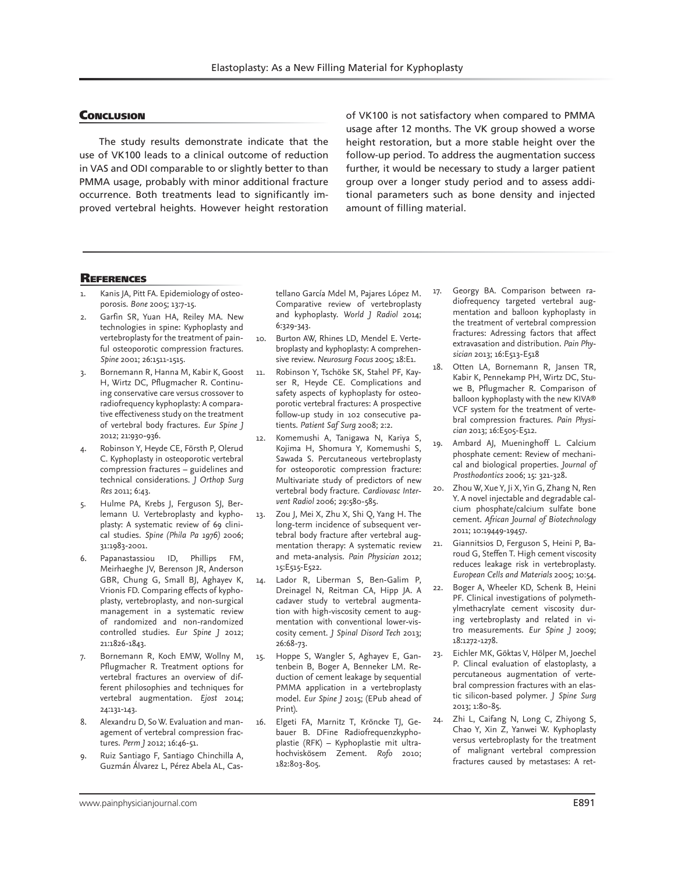#### **CONCLUSION**

The study results demonstrate indicate that the use of VK100 leads to a clinical outcome of reduction in VAS and ODI comparable to or slightly better to than PMMA usage, probably with minor additional fracture occurrence. Both treatments lead to significantly improved vertebral heights. However height restoration of VK100 is not satisfactory when compared to PMMA usage after 12 months. The VK group showed a worse height restoration, but a more stable height over the follow-up period. To address the augmentation success further, it would be necessary to study a larger patient group over a longer study period and to assess additional parameters such as bone density and injected amount of filling material.

#### **REFERENCES**

- Kanis JA, Pitt FA. Epidemiology of osteoporosis. *Bone* 2005; 13:7-15.
- Garfin SR, Yuan HA, Reiley MA. New technologies in spine: Kyphoplasty and vertebroplasty for the treatment of painful osteoporotic compression fractures. *Spine* 2001; 26:1511-1515.
- 3. Bornemann R, Hanna M, Kabir K, Goost H, Wirtz DC, Pflugmacher R. Continuing conservative care versus crossover to radiofrequency kyphoplasty: A comparative effectiveness study on the treatment of vertebral body fractures. *Eur Spine J* 2012; 21:930-936.
- 4. Robinson Y, Heyde CE, Försth P, Olerud C. Kyphoplasty in osteoporotic vertebral compression fractures – guidelines and technical considerations. *J Orthop Surg Res* 2011; 6:43.
- 5. Hulme PA, Krebs J, Ferguson SJ, Berlemann U. Vertebroplasty and kyphoplasty: A systematic review of 69 clinical studies. *Spine (Phila Pa 1976)* 2006; 31:1983-2001.
- 6. Papanastassiou ID, Phillips FM, Meirhaeghe JV, Berenson JR, Anderson GBR, Chung G, Small BJ, Aghayev K, Vrionis FD. Comparing effects of kyphoplasty, vertebroplasty, and non-surgical management in a systematic review of randomized and non-randomized controlled studies. *Eur Spine J* 2012; 21:1826-1843.
- Bornemann R, Koch EMW, Wollny M, Pflugmacher R. Treatment options for vertebral fractures an overview of different philosophies and techniques for vertebral augmentation. *Ejost* 2014; 24:131-143.
- Alexandru D, So W. Evaluation and management of vertebral compression fractures. *Perm J* 2012; 16:46-51.
- 9. Ruiz Santiago F, Santiago Chinchilla A, Guzmán Álvarez L, Pérez Abela AL, Cas-

tellano García Mdel M, Pajares López M. Comparative review of vertebroplasty and kyphoplasty. *World J Radiol* 2014; 6:329-343.

- 10. Burton AW, Rhines LD, Mendel E. Vertebroplasty and kyphoplasty: A comprehensive review. *Neurosurg Focus* 2005; 18:E1.
- 11. Robinson Y, Tschöke SK, Stahel PF, Kayser R, Heyde CE. Complications and safety aspects of kyphoplasty for osteoporotic vertebral fractures: A prospective follow-up study in 102 consecutive patients. *Patient Saf Surg* 2008; 2:2.
- 12. Komemushi A, Tanigawa N, Kariya S, Kojima H, Shomura Y, Komemushi S, Sawada S. Percutaneous vertebroplasty for osteoporotic compression fracture: Multivariate study of predictors of new vertebral body fracture. *Cardiovasc Intervent Radiol* 2006; 29:580-585.
- 13. Zou J, Mei X, Zhu X, Shi Q, Yang H. The long-term incidence of subsequent vertebral body fracture after vertebral augmentation therapy: A systematic review and meta-analysis. *Pain Physician* 2012; 15:E515-E522.
- 14. Lador R, Liberman S, Ben-Galim P, Dreinagel N, Reitman CA, Hipp JA. A cadaver study to vertebral augmentation with high-viscosity cement to augmentation with conventional lower-viscosity cement. *J Spinal Disord Tech* 2013; 26:68-73.
- 15. Hoppe S, Wangler S, Aghayev E, Gantenbein B, Boger A, Benneker LM. Reduction of cement leakage by sequential PMMA application in a vertebroplasty model. *Eur Spine J* 2015; (EPub ahead of Print).
- 16. Elgeti FA, Marnitz T, Kröncke TJ, Gebauer B. DFine Radiofrequenzkyphoplastie (RFK) – Kyphoplastie mit ultrahochviskösem Zement. *Rofo* 2010; 182:803-805.
- 17. Georgy BA. Comparison between radiofrequency targeted vertebral augmentation and balloon kyphoplasty in the treatment of vertebral compression fractures: Adressing factors that affect extravasation and distribution. *Pain Physician* 2013; 16:E513-E518
- 18. Otten LA, Bornemann R, Jansen TR, Kabir K, Pennekamp PH, Wirtz DC, Stuwe B, Pflugmacher R. Comparison of balloon kyphoplasty with the new KIVA® VCF system for the treatment of vertebral compression fractures. *Pain Physician* 2013; 16:E505-E512.
- 19. Ambard AJ, Mueninghoff L. Calcium phosphate cement: Review of mechanical and biological properties. *Journal of Prosthodontics* 2006; 15: 321-328.
- 20. Zhou W, Xue Y, Ji X, Yin G, Zhang N, Ren Y. A novel injectable and degradable calcium phosphate/calcium sulfate bone cement. *African Journal of Biotechnology* 2011; 10:19449-19457.
- 21. Giannitsios D, Ferguson S, Heini P, Baroud G, Steffen T. High cement viscosity reduces leakage risk in vertebroplasty. *European Cells and Materials* 2005; 10:54.
- 22. Boger A, Wheeler KD, Schenk B, Heini PF. Clinical investigations of polymethylmethacrylate cement viscosity during vertebroplasty and related in vitro measurements. *Eur Spine J* 2009; 18:1272-1278.
- 23. Eichler MK, Göktas V, Hölper M, Joechel P. Clincal evaluation of elastoplasty, a percutaneous augmentation of vertebral compression fractures with an elastic silicon-based polymer. *J Spine Surg* 2013; 1:80-85.
- 24. Zhi L, Caifang N, Long C, Zhiyong S, Chao Y, Xin Z, Yanwei W. Kyphoplasty versus vertebroplasty for the treatment of malignant vertebral compression fractures caused by metastases: A ret-